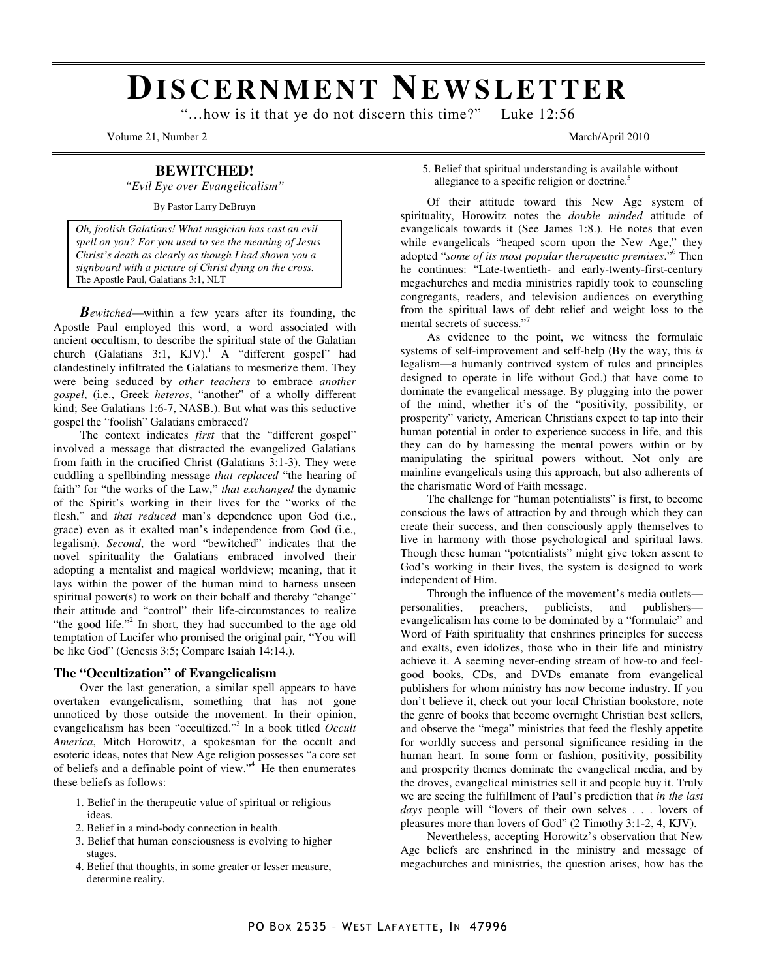# **DI S C E R N M E N T NE W S L E T T E R**

"…how is it that ye do not discern this time?" Luke 12:56

Volume 21, Number 2 March/April 2010

## **BEWITCHED!**

*"Evil Eye over Evangelicalism"* 

By Pastor Larry DeBruyn

*Oh, foolish Galatians! What magician has cast an evil spell on you? For you used to see the meaning of Jesus Christ's death as clearly as though I had shown you a signboard with a picture of Christ dying on the cross.*  The Apostle Paul, Galatians 3:1, NLT

*Bewitched*—within a few years after its founding, the Apostle Paul employed this word, a word associated with ancient occultism, to describe the spiritual state of the Galatian church (Galatians 3:1, KJV).<sup>1</sup> A "different gospel" had clandestinely infiltrated the Galatians to mesmerize them. They were being seduced by *other teachers* to embrace *another gospel*, (i.e., Greek *heteros*, "another" of a wholly different kind; See Galatians 1:6-7, NASB.). But what was this seductive gospel the "foolish" Galatians embraced?

 The context indicates *first* that the "different gospel" involved a message that distracted the evangelized Galatians from faith in the crucified Christ (Galatians 3:1-3). They were cuddling a spellbinding message *that replaced* "the hearing of faith" for "the works of the Law," *that exchanged* the dynamic of the Spirit's working in their lives for the "works of the flesh," and *that reduced* man's dependence upon God (i.e., grace) even as it exalted man's independence from God (i.e., legalism). *Second*, the word "bewitched" indicates that the novel spirituality the Galatians embraced involved their adopting a mentalist and magical worldview; meaning, that it lays within the power of the human mind to harness unseen spiritual power(s) to work on their behalf and thereby "change" their attitude and "control" their life-circumstances to realize "the good life."<sup>2</sup> In short, they had succumbed to the age old temptation of Lucifer who promised the original pair, "You will be like God" (Genesis 3:5; Compare Isaiah 14:14.).

## **The "Occultization" of Evangelicalism**

Over the last generation, a similar spell appears to have overtaken evangelicalism, something that has not gone unnoticed by those outside the movement. In their opinion, evangelicalism has been "occultized."<sup>3</sup> In a book titled *Occult America*, Mitch Horowitz, a spokesman for the occult and esoteric ideas, notes that New Age religion possesses "a core set of beliefs and a definable point of view."<sup>4</sup> He then enumerates these beliefs as follows:

- 1. Belief in the therapeutic value of spiritual or religious ideas.
- 2. Belief in a mind-body connection in health.
- 3. Belief that human consciousness is evolving to higher stages.
- 4. Belief that thoughts, in some greater or lesser measure, determine reality.

5. Belief that spiritual understanding is available without allegiance to a specific religion or doctrine.<sup>5</sup>

Of their attitude toward this New Age system of spirituality, Horowitz notes the *double minded* attitude of evangelicals towards it (See James 1:8.). He notes that even while evangelicals "heaped scorn upon the New Age," they adopted "*some of its most popular therapeutic premises*."<sup>6</sup> Then he continues: "Late-twentieth- and early-twenty-first-century megachurches and media ministries rapidly took to counseling congregants, readers, and television audiences on everything from the spiritual laws of debt relief and weight loss to the mental secrets of success."

 As evidence to the point, we witness the formulaic systems of self-improvement and self-help (By the way, this *is* legalism—a humanly contrived system of rules and principles designed to operate in life without God.) that have come to dominate the evangelical message. By plugging into the power of the mind, whether it's of the "positivity, possibility, or prosperity" variety, American Christians expect to tap into their human potential in order to experience success in life, and this they can do by harnessing the mental powers within or by manipulating the spiritual powers without. Not only are mainline evangelicals using this approach, but also adherents of the charismatic Word of Faith message.

 The challenge for "human potentialists" is first, to become conscious the laws of attraction by and through which they can create their success, and then consciously apply themselves to live in harmony with those psychological and spiritual laws. Though these human "potentialists" might give token assent to God's working in their lives, the system is designed to work independent of Him.

 Through the influence of the movement's media outlets personalities, preachers, publicists, and publishers evangelicalism has come to be dominated by a "formulaic" and Word of Faith spirituality that enshrines principles for success and exalts, even idolizes, those who in their life and ministry achieve it. A seeming never-ending stream of how-to and feelgood books, CDs, and DVDs emanate from evangelical publishers for whom ministry has now become industry. If you don't believe it, check out your local Christian bookstore, note the genre of books that become overnight Christian best sellers, and observe the "mega" ministries that feed the fleshly appetite for worldly success and personal significance residing in the human heart. In some form or fashion, positivity, possibility and prosperity themes dominate the evangelical media, and by the droves, evangelical ministries sell it and people buy it. Truly we are seeing the fulfillment of Paul's prediction that *in the last days* people will "lovers of their own selves . . . lovers of pleasures more than lovers of God" (2 Timothy 3:1-2, 4, KJV).

 Nevertheless, accepting Horowitz's observation that New Age beliefs are enshrined in the ministry and message of megachurches and ministries, the question arises, how has the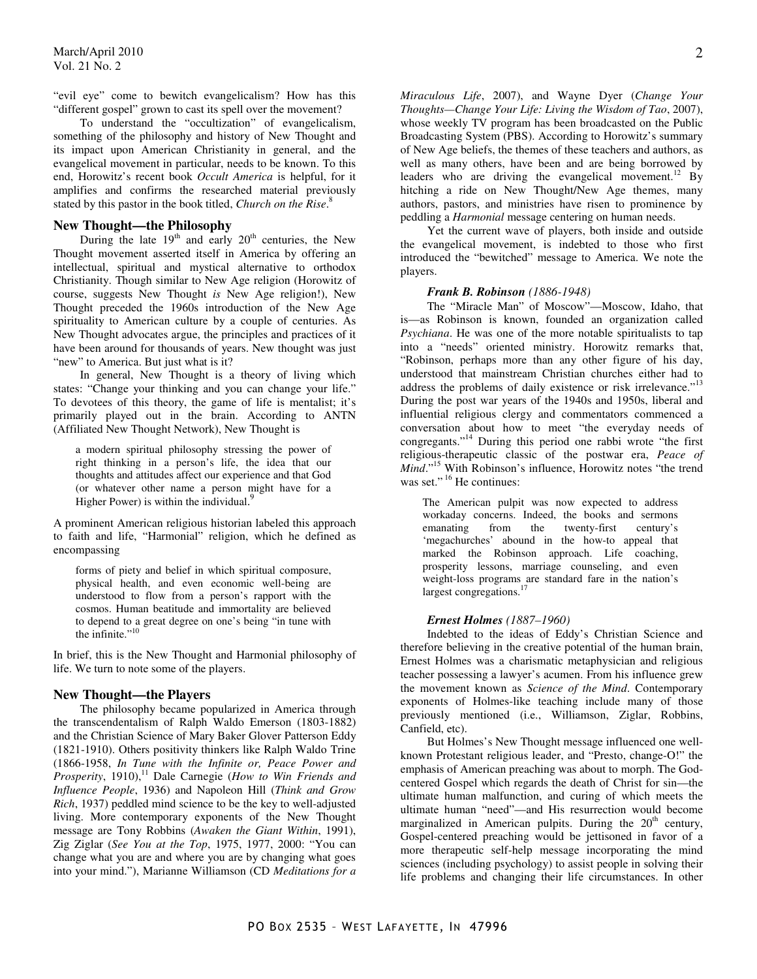"evil eye" come to bewitch evangelicalism? How has this "different gospel" grown to cast its spell over the movement?

 To understand the "occultization" of evangelicalism, something of the philosophy and history of New Thought and its impact upon American Christianity in general, and the evangelical movement in particular, needs to be known. To this end, Horowitz's recent book *Occult America* is helpful, for it amplifies and confirms the researched material previously stated by this pastor in the book titled, *Church on the Rise*. 8

## **New Thought—the Philosophy**

During the late  $19<sup>th</sup>$  and early  $20<sup>th</sup>$  centuries, the New Thought movement asserted itself in America by offering an intellectual, spiritual and mystical alternative to orthodox Christianity. Though similar to New Age religion (Horowitz of course, suggests New Thought *is* New Age religion!), New Thought preceded the 1960s introduction of the New Age spirituality to American culture by a couple of centuries. As New Thought advocates argue, the principles and practices of it have been around for thousands of years. New thought was just "new" to America. But just what is it?

 In general, New Thought is a theory of living which states: "Change your thinking and you can change your life." To devotees of this theory, the game of life is mentalist; it's primarily played out in the brain. According to ANTN (Affiliated New Thought Network), New Thought is

a modern spiritual philosophy stressing the power of right thinking in a person's life, the idea that our thoughts and attitudes affect our experience and that God (or whatever other name a person might have for a Higher Power) is within the individual.<sup>9</sup>

A prominent American religious historian labeled this approach to faith and life, "Harmonial" religion, which he defined as encompassing

forms of piety and belief in which spiritual composure, physical health, and even economic well-being are understood to flow from a person's rapport with the cosmos. Human beatitude and immortality are believed to depend to a great degree on one's being "in tune with the infinite."<sup>10</sup>

In brief, this is the New Thought and Harmonial philosophy of life. We turn to note some of the players.

## **New Thought—the Players**

The philosophy became popularized in America through the transcendentalism of Ralph Waldo Emerson (1803-1882) and the Christian Science of Mary Baker Glover Patterson Eddy (1821-1910). Others positivity thinkers like Ralph Waldo Trine (1866-1958, *In Tune with the Infinite or, Peace Power and Prosperity*, 1910),<sup>11</sup> Dale Carnegie (*How to Win Friends and Influence People*, 1936) and Napoleon Hill (*Think and Grow Rich*, 1937) peddled mind science to be the key to well-adjusted living. More contemporary exponents of the New Thought message are Tony Robbins (*Awaken the Giant Within*, 1991), Zig Ziglar (*See You at the Top*, 1975, 1977, 2000: "You can change what you are and where you are by changing what goes into your mind."), Marianne Williamson (CD *Meditations for a* 

*Miraculous Life*, 2007), and Wayne Dyer (*Change Your Thoughts—Change Your Life: Living the Wisdom of Tao*, 2007), whose weekly TV program has been broadcasted on the Public Broadcasting System (PBS). According to Horowitz's summary of New Age beliefs, the themes of these teachers and authors, as well as many others, have been and are being borrowed by leaders who are driving the evangelical movement.<sup>12</sup> By hitching a ride on New Thought/New Age themes, many authors, pastors, and ministries have risen to prominence by peddling a *Harmonial* message centering on human needs.

 Yet the current wave of players, both inside and outside the evangelical movement, is indebted to those who first introduced the "bewitched" message to America. We note the players.

#### *Frank B. Robinson (1886-1948)*

The "Miracle Man" of Moscow"—Moscow, Idaho, that is—as Robinson is known, founded an organization called *Psychiana*. He was one of the more notable spiritualists to tap into a "needs" oriented ministry. Horowitz remarks that, "Robinson, perhaps more than any other figure of his day, understood that mainstream Christian churches either had to address the problems of daily existence or risk irrelevance."<sup>13</sup> During the post war years of the 1940s and 1950s, liberal and influential religious clergy and commentators commenced a conversation about how to meet "the everyday needs of congregants."<sup>14</sup> During this period one rabbi wrote "the first religious-therapeutic classic of the postwar era, *Peace of Mind*."<sup>15</sup> With Robinson's influence, Horowitz notes "the trend was set."<sup>16</sup> He continues:

The American pulpit was now expected to address workaday concerns. Indeed, the books and sermons emanating from the twenty-first century's 'megachurches' abound in the how-to appeal that marked the Robinson approach. Life coaching, prosperity lessons, marriage counseling, and even weight-loss programs are standard fare in the nation's largest congregations.<sup>17</sup>

#### *Ernest Holmes (1887–1960)*

Indebted to the ideas of Eddy's Christian Science and therefore believing in the creative potential of the human brain, Ernest Holmes was a charismatic metaphysician and religious teacher possessing a lawyer's acumen. From his influence grew the movement known as *Science of the Mind*. Contemporary exponents of Holmes-like teaching include many of those previously mentioned (i.e., Williamson, Ziglar, Robbins, Canfield, etc).

 But Holmes's New Thought message influenced one wellknown Protestant religious leader, and "Presto, change-O!" the emphasis of American preaching was about to morph. The Godcentered Gospel which regards the death of Christ for sin—the ultimate human malfunction, and curing of which meets the ultimate human "need"—and His resurrection would become marginalized in American pulpits. During the  $20<sup>th</sup>$  century, Gospel-centered preaching would be jettisoned in favor of a more therapeutic self-help message incorporating the mind sciences (including psychology) to assist people in solving their life problems and changing their life circumstances. In other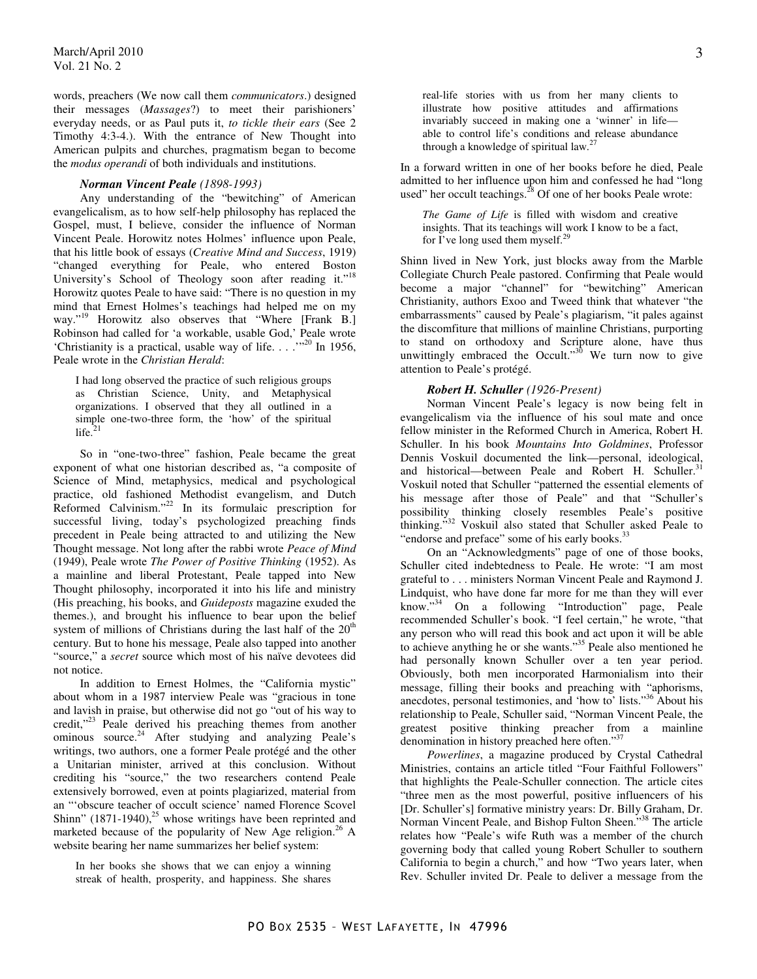words, preachers (We now call them *communicators*.) designed their messages (*Massages*?) to meet their parishioners' everyday needs, or as Paul puts it, *to tickle their ears* (See 2 Timothy 4:3-4.). With the entrance of New Thought into American pulpits and churches, pragmatism began to become the *modus operandi* of both individuals and institutions.

## *Norman Vincent Peale (1898-1993)*

Any understanding of the "bewitching" of American evangelicalism, as to how self-help philosophy has replaced the Gospel, must, I believe, consider the influence of Norman Vincent Peale. Horowitz notes Holmes' influence upon Peale, that his little book of essays (*Creative Mind and Success*, 1919) "changed everything for Peale, who entered Boston University's School of Theology soon after reading it."<sup>18</sup> Horowitz quotes Peale to have said: "There is no question in my mind that Ernest Holmes's teachings had helped me on my way."<sup>19</sup> Horowitz also observes that "Where [Frank B.] Robinson had called for 'a workable, usable God,' Peale wrote 'Christianity is a practical, usable way of life. . . .'"<sup>20</sup> In 1956, Peale wrote in the *Christian Herald*:

I had long observed the practice of such religious groups as Christian Science, Unity, and Metaphysical organizations. I observed that they all outlined in a simple one-two-three form, the 'how' of the spiritual life. $^{21}$ 

So in "one-two-three" fashion, Peale became the great exponent of what one historian described as, "a composite of Science of Mind, metaphysics, medical and psychological practice, old fashioned Methodist evangelism, and Dutch Reformed Calvinism."<sup>22</sup> In its formulaic prescription for successful living, today's psychologized preaching finds precedent in Peale being attracted to and utilizing the New Thought message. Not long after the rabbi wrote *Peace of Mind* (1949), Peale wrote *The Power of Positive Thinking* (1952). As a mainline and liberal Protestant, Peale tapped into New Thought philosophy, incorporated it into his life and ministry (His preaching, his books, and *Guideposts* magazine exuded the themes.), and brought his influence to bear upon the belief system of millions of Christians during the last half of the  $20<sup>th</sup>$ century. But to hone his message, Peale also tapped into another "source," a *secret* source which most of his naïve devotees did not notice.

 In addition to Ernest Holmes, the "California mystic" about whom in a 1987 interview Peale was "gracious in tone and lavish in praise, but otherwise did not go "out of his way to credit,"<sup>23</sup> Peale derived his preaching themes from another ominous source.<sup>24</sup> After studying and analyzing Peale's writings, two authors, one a former Peale protégé and the other a Unitarian minister, arrived at this conclusion. Without crediting his "source," the two researchers contend Peale extensively borrowed, even at points plagiarized, material from an "'obscure teacher of occult science' named Florence Scovel Shinn"  $(1871-1940)$ <sup>25</sup> whose writings have been reprinted and marketed because of the popularity of New Age religion.<sup>26</sup> A website bearing her name summarizes her belief system:

In her books she shows that we can enjoy a winning streak of health, prosperity, and happiness. She shares real-life stories with us from her many clients to illustrate how positive attitudes and affirmations invariably succeed in making one a 'winner' in life able to control life's conditions and release abundance through a knowledge of spiritual law. $27$ 

In a forward written in one of her books before he died, Peale admitted to her influence upon him and confessed he had "long used" her occult teachings. $^{28}$  Of one of her books Peale wrote:

*The Game of Life* is filled with wisdom and creative insights. That its teachings will work I know to be a fact, for I've long used them myself.<sup>29</sup>

Shinn lived in New York, just blocks away from the Marble Collegiate Church Peale pastored. Confirming that Peale would become a major "channel" for "bewitching" American Christianity, authors Exoo and Tweed think that whatever "the embarrassments" caused by Peale's plagiarism, "it pales against the discomfiture that millions of mainline Christians, purporting to stand on orthodoxy and Scripture alone, have thus unwittingly embraced the Occult."<sup>30</sup> We turn now to give attention to Peale's protégé.

## *Robert H. Schuller (1926-Present)*

Norman Vincent Peale's legacy is now being felt in evangelicalism via the influence of his soul mate and once fellow minister in the Reformed Church in America, Robert H. Schuller. In his book *Mountains Into Goldmines*, Professor Dennis Voskuil documented the link—personal, ideological, and historical—between Peale and Robert H. Schuller.<sup>31</sup> Voskuil noted that Schuller "patterned the essential elements of his message after those of Peale" and that "Schuller's possibility thinking closely resembles Peale's positive thinking."<sup>32</sup> Voskuil also stated that Schuller asked Peale to "endorse and preface" some of his early books.<sup>3</sup>

 On an "Acknowledgments" page of one of those books, Schuller cited indebtedness to Peale. He wrote: "I am most grateful to . . . ministers Norman Vincent Peale and Raymond J. Lindquist, who have done far more for me than they will ever know."<sup>34</sup> On a following "Introduction" page, Peale recommended Schuller's book. "I feel certain," he wrote, "that any person who will read this book and act upon it will be able to achieve anything he or she wants."<sup>35</sup> Peale also mentioned he had personally known Schuller over a ten year period. Obviously, both men incorporated Harmonialism into their message, filling their books and preaching with "aphorisms, anecdotes, personal testimonies, and 'how to' lists."<sup>36</sup> About his relationship to Peale, Schuller said, "Norman Vincent Peale, the greatest positive thinking preacher from a mainline denomination in history preached here often."<sup>37</sup>

*Powerlines*, a magazine produced by Crystal Cathedral Ministries, contains an article titled "Four Faithful Followers" that highlights the Peale-Schuller connection. The article cites "three men as the most powerful, positive influencers of his [Dr. Schuller's] formative ministry years: Dr. Billy Graham, Dr. Norman Vincent Peale, and Bishop Fulton Sheen."<sup>38</sup> The article relates how "Peale's wife Ruth was a member of the church governing body that called young Robert Schuller to southern California to begin a church," and how "Two years later, when Rev. Schuller invited Dr. Peale to deliver a message from the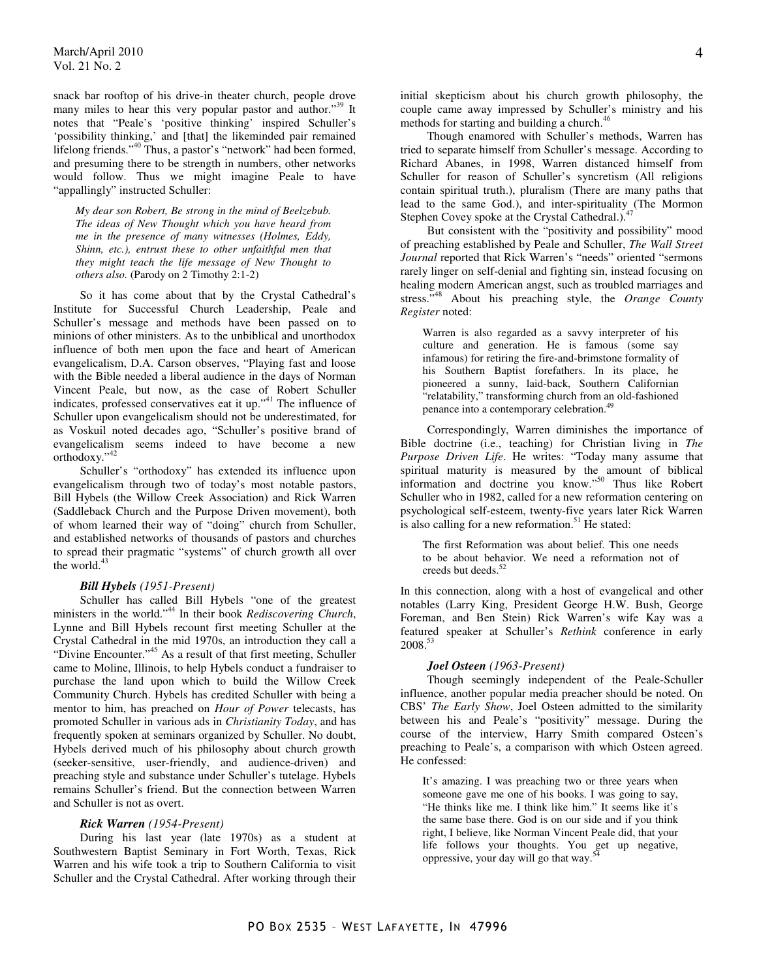snack bar rooftop of his drive-in theater church, people drove many miles to hear this very popular pastor and author."<sup>39</sup> It notes that "Peale's 'positive thinking' inspired Schuller's 'possibility thinking,' and [that] the likeminded pair remained lifelong friends."<sup>40</sup> Thus, a pastor's "network" had been formed, and presuming there to be strength in numbers, other networks would follow. Thus we might imagine Peale to have "appallingly" instructed Schuller:

*My dear son Robert, Be strong in the mind of Beelzebub. The ideas of New Thought which you have heard from me in the presence of many witnesses (Holmes, Eddy, Shinn, etc.), entrust these to other unfaithful men that they might teach the life message of New Thought to others also.* (Parody on 2 Timothy 2:1-2)

So it has come about that by the Crystal Cathedral's Institute for Successful Church Leadership, Peale and Schuller's message and methods have been passed on to minions of other ministers. As to the unbiblical and unorthodox influence of both men upon the face and heart of American evangelicalism, D.A. Carson observes, "Playing fast and loose with the Bible needed a liberal audience in the days of Norman Vincent Peale, but now, as the case of Robert Schuller indicates, professed conservatives eat it up."<sup>41</sup> The influence of Schuller upon evangelicalism should not be underestimated, for as Voskuil noted decades ago, "Schuller's positive brand of evangelicalism seems indeed to have become a new orthodoxy."<sup>42</sup>

 Schuller's "orthodoxy" has extended its influence upon evangelicalism through two of today's most notable pastors, Bill Hybels (the Willow Creek Association) and Rick Warren (Saddleback Church and the Purpose Driven movement), both of whom learned their way of "doing" church from Schuller, and established networks of thousands of pastors and churches to spread their pragmatic "systems" of church growth all over the world.<sup>43</sup>

## *Bill Hybels (1951-Present)*

Schuller has called Bill Hybels "one of the greatest ministers in the world."<sup>44</sup> In their book *Rediscovering Church*, Lynne and Bill Hybels recount first meeting Schuller at the Crystal Cathedral in the mid 1970s, an introduction they call a "Divine Encounter."<sup>45</sup> As a result of that first meeting, Schuller came to Moline, Illinois, to help Hybels conduct a fundraiser to purchase the land upon which to build the Willow Creek Community Church. Hybels has credited Schuller with being a mentor to him, has preached on *Hour of Power* telecasts, has promoted Schuller in various ads in *Christianity Today*, and has frequently spoken at seminars organized by Schuller. No doubt, Hybels derived much of his philosophy about church growth (seeker-sensitive, user-friendly, and audience-driven) and preaching style and substance under Schuller's tutelage. Hybels remains Schuller's friend. But the connection between Warren and Schuller is not as overt.

#### *Rick Warren (1954-Present)*

During his last year (late 1970s) as a student at Southwestern Baptist Seminary in Fort Worth, Texas, Rick Warren and his wife took a trip to Southern California to visit Schuller and the Crystal Cathedral. After working through their

initial skepticism about his church growth philosophy, the couple came away impressed by Schuller's ministry and his methods for starting and building a church.<sup>46</sup>

 Though enamored with Schuller's methods, Warren has tried to separate himself from Schuller's message. According to Richard Abanes, in 1998, Warren distanced himself from Schuller for reason of Schuller's syncretism (All religions contain spiritual truth.), pluralism (There are many paths that lead to the same God.), and inter-spirituality (The Mormon Stephen Covey spoke at the Crystal Cathedral.).<sup>4</sup>

 But consistent with the "positivity and possibility" mood of preaching established by Peale and Schuller, *The Wall Street Journal* reported that Rick Warren's "needs" oriented "sermons rarely linger on self-denial and fighting sin, instead focusing on healing modern American angst, such as troubled marriages and stress."<sup>48</sup> About his preaching style, the *Orange County Register* noted:

Warren is also regarded as a savvy interpreter of his culture and generation. He is famous (some say infamous) for retiring the fire-and-brimstone formality of his Southern Baptist forefathers. In its place, he pioneered a sunny, laid-back, Southern Californian "relatability," transforming church from an old-fashioned penance into a contemporary celebration.<sup>49</sup>

Correspondingly, Warren diminishes the importance of Bible doctrine (i.e., teaching) for Christian living in *The Purpose Driven Life*. He writes: "Today many assume that spiritual maturity is measured by the amount of biblical information and doctrine you know."<sup>50</sup> Thus like Robert Schuller who in 1982, called for a new reformation centering on psychological self-esteem, twenty-five years later Rick Warren is also calling for a new reformation.<sup>51</sup> He stated:

The first Reformation was about belief. This one needs to be about behavior. We need a reformation not of creeds but deeds.<sup>52</sup>

In this connection, along with a host of evangelical and other notables (Larry King, President George H.W. Bush, George Foreman, and Ben Stein) Rick Warren's wife Kay was a featured speaker at Schuller's *Rethink* conference in early 2008.<sup>53</sup>

## *Joel Osteen (1963-Present)*

Though seemingly independent of the Peale-Schuller influence, another popular media preacher should be noted. On CBS' *The Early Show*, Joel Osteen admitted to the similarity between his and Peale's "positivity" message. During the course of the interview, Harry Smith compared Osteen's preaching to Peale's, a comparison with which Osteen agreed. He confessed:

It's amazing. I was preaching two or three years when someone gave me one of his books. I was going to say, "He thinks like me. I think like him." It seems like it's the same base there. God is on our side and if you think right, I believe, like Norman Vincent Peale did, that your life follows your thoughts. You get up negative, oppressive, your day will go that way. $\dot{5}$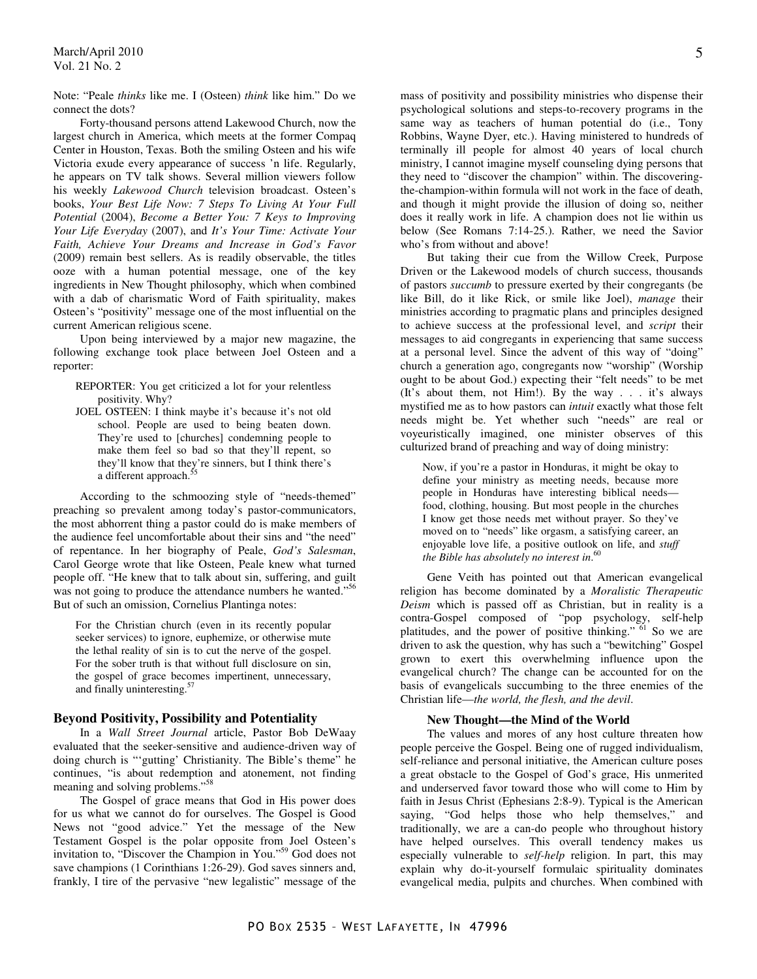Note: "Peale *thinks* like me. I (Osteen) *think* like him." Do we connect the dots?

 Forty-thousand persons attend Lakewood Church, now the largest church in America, which meets at the former Compaq Center in Houston, Texas. Both the smiling Osteen and his wife Victoria exude every appearance of success 'n life. Regularly, he appears on TV talk shows. Several million viewers follow his weekly *Lakewood Church* television broadcast. Osteen's books, *Your Best Life Now: 7 Steps To Living At Your Full Potential* (2004), *Become a Better You: 7 Keys to Improving Your Life Everyday* (2007), and *It's Your Time: Activate Your Faith, Achieve Your Dreams and Increase in God's Favor* (2009) remain best sellers. As is readily observable, the titles ooze with a human potential message, one of the key ingredients in New Thought philosophy, which when combined with a dab of charismatic Word of Faith spirituality, makes Osteen's "positivity" message one of the most influential on the current American religious scene.

 Upon being interviewed by a major new magazine, the following exchange took place between Joel Osteen and a reporter:

- REPORTER: You get criticized a lot for your relentless positivity. Why?
- JOEL OSTEEN: I think maybe it's because it's not old school. People are used to being beaten down. They're used to [churches] condemning people to make them feel so bad so that they'll repent, so they'll know that they're sinners, but I think there's a different approach.<sup>5</sup>

According to the schmoozing style of "needs-themed" preaching so prevalent among today's pastor-communicators, the most abhorrent thing a pastor could do is make members of the audience feel uncomfortable about their sins and "the need" of repentance. In her biography of Peale, *God's Salesman*, Carol George wrote that like Osteen, Peale knew what turned people off. "He knew that to talk about sin, suffering, and guilt was not going to produce the attendance numbers he wanted."<sup>56</sup> But of such an omission, Cornelius Plantinga notes:

For the Christian church (even in its recently popular seeker services) to ignore, euphemize, or otherwise mute the lethal reality of sin is to cut the nerve of the gospel. For the sober truth is that without full disclosure on sin, the gospel of grace becomes impertinent, unnecessary, and finally uninteresting.<sup>57</sup>

## **Beyond Positivity, Possibility and Potentiality**

In a *Wall Street Journal* article, Pastor Bob DeWaay evaluated that the seeker-sensitive and audience-driven way of doing church is "'gutting' Christianity. The Bible's theme" he continues, "is about redemption and atonement, not finding meaning and solving problems."<sup>58</sup>

 The Gospel of grace means that God in His power does for us what we cannot do for ourselves. The Gospel is Good News not "good advice." Yet the message of the New Testament Gospel is the polar opposite from Joel Osteen's invitation to, "Discover the Champion in You."<sup>59</sup> God does not save champions (1 Corinthians 1:26-29). God saves sinners and, frankly, I tire of the pervasive "new legalistic" message of the

mass of positivity and possibility ministries who dispense their psychological solutions and steps-to-recovery programs in the same way as teachers of human potential do (i.e., Tony Robbins, Wayne Dyer, etc.). Having ministered to hundreds of terminally ill people for almost 40 years of local church ministry, I cannot imagine myself counseling dying persons that they need to "discover the champion" within. The discoveringthe-champion-within formula will not work in the face of death, and though it might provide the illusion of doing so, neither does it really work in life. A champion does not lie within us below (See Romans 7:14-25.). Rather, we need the Savior who's from without and above!

 But taking their cue from the Willow Creek, Purpose Driven or the Lakewood models of church success, thousands of pastors *succumb* to pressure exerted by their congregants (be like Bill, do it like Rick, or smile like Joel), *manage* their ministries according to pragmatic plans and principles designed to achieve success at the professional level, and *script* their messages to aid congregants in experiencing that same success at a personal level. Since the advent of this way of "doing" church a generation ago, congregants now "worship" (Worship ought to be about God.) expecting their "felt needs" to be met (It's about them, not Him!). By the way . . . it's always mystified me as to how pastors can *intuit* exactly what those felt needs might be. Yet whether such "needs" are real or voyeuristically imagined, one minister observes of this culturized brand of preaching and way of doing ministry:

Now, if you're a pastor in Honduras, it might be okay to define your ministry as meeting needs, because more people in Honduras have interesting biblical needs food, clothing, housing. But most people in the churches I know get those needs met without prayer. So they've moved on to "needs" like orgasm, a satisfying career, an enjoyable love life, a positive outlook on life, and *stuff the Bible has absolutely no interest in*. 60

Gene Veith has pointed out that American evangelical religion has become dominated by a *Moralistic Therapeutic Deism* which is passed off as Christian, but in reality is a contra-Gospel composed of "pop psychology, self-help platitudes, and the power of positive thinking."  $61$  So we are driven to ask the question, why has such a "bewitching" Gospel grown to exert this overwhelming influence upon the evangelical church? The change can be accounted for on the basis of evangelicals succumbing to the three enemies of the Christian life—*the world, the flesh, and the devil*.

#### **New Thought—the Mind of the World**

The values and mores of any host culture threaten how people perceive the Gospel. Being one of rugged individualism, self-reliance and personal initiative, the American culture poses a great obstacle to the Gospel of God's grace, His unmerited and underserved favor toward those who will come to Him by faith in Jesus Christ (Ephesians 2:8-9). Typical is the American saying, "God helps those who help themselves," and traditionally, we are a can-do people who throughout history have helped ourselves. This overall tendency makes us especially vulnerable to *self-help* religion. In part, this may explain why do-it-yourself formulaic spirituality dominates evangelical media, pulpits and churches. When combined with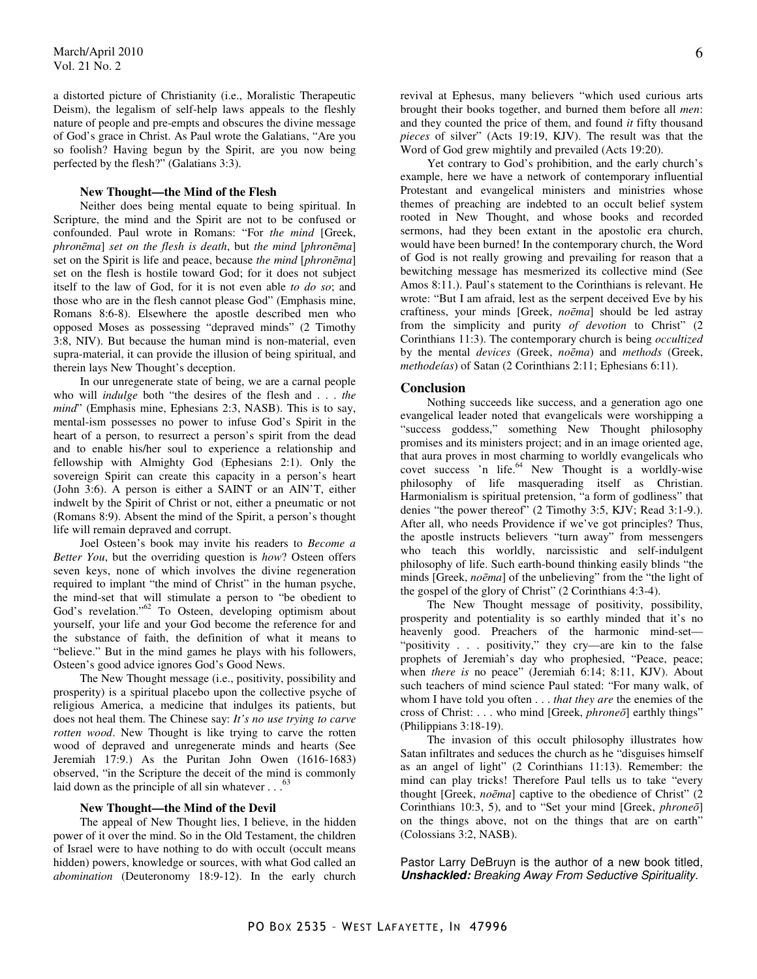a distorted picture of Christianity (i.e., Moralistic Therapeutic Deism), the legalism of self-help laws appeals to the fleshly nature of people and pre-empts and obscures the divine message of God's grace in Christ. As Paul wrote the Galatians, "Are you so foolish? Having begun by the Spirit, are you now being perfected by the flesh?" (Galatians 3:3).

## **New Thought—the Mind of the Flesh**

Neither does being mental equate to being spiritual. In Scripture, the mind and the Spirit are not to be confused or confounded. Paul wrote in Romans: "For *the mind* [Greek, *phron*ē*ma*] *set on the flesh is death*, but *the mind* [*phron*ē*ma*] set on the Spirit is life and peace, because *the mind* [*phron*ē*ma*] set on the flesh is hostile toward God; for it does not subject itself to the law of God, for it is not even able *to do so*; and those who are in the flesh cannot please God" (Emphasis mine, Romans 8:6-8). Elsewhere the apostle described men who opposed Moses as possessing "depraved minds" (2 Timothy 3:8, NIV). But because the human mind is non-material, even supra-material, it can provide the illusion of being spiritual, and therein lays New Thought's deception.

 In our unregenerate state of being, we are a carnal people who will *indulge* both "the desires of the flesh and . . . *the mind*" (Emphasis mine, Ephesians 2:3, NASB). This is to say, mental-ism possesses no power to infuse God's Spirit in the heart of a person, to resurrect a person's spirit from the dead and to enable his/her soul to experience a relationship and fellowship with Almighty God (Ephesians 2:1). Only the sovereign Spirit can create this capacity in a person's heart (John 3:6). A person is either a SAINT or an AIN'T, either indwelt by the Spirit of Christ or not, either a pneumatic or not (Romans 8:9). Absent the mind of the Spirit, a person's thought life will remain depraved and corrupt.

 Joel Osteen's book may invite his readers to *Become a Better You*, but the overriding question is *how*? Osteen offers seven keys, none of which involves the divine regeneration required to implant "the mind of Christ" in the human psyche, the mind-set that will stimulate a person to "be obedient to God's revelation."<sup>62</sup> To Osteen, developing optimism about yourself, your life and your God become the reference for and the substance of faith, the definition of what it means to "believe." But in the mind games he plays with his followers, Osteen's good advice ignores God's Good News.

 The New Thought message (i.e., positivity, possibility and prosperity) is a spiritual placebo upon the collective psyche of religious America, a medicine that indulges its patients, but does not heal them. The Chinese say: *It's no use trying to carve rotten wood*. New Thought is like trying to carve the rotten wood of depraved and unregenerate minds and hearts (See Jeremiah 17:9.) As the Puritan John Owen (1616-1683) observed, "in the Scripture the deceit of the mind is commonly laid down as the principle of all sin whatever  $\ldots$ <sup>63</sup>

#### **New Thought—the Mind of the Devil**

 The appeal of New Thought lies, I believe, in the hidden power of it over the mind. So in the Old Testament, the children of Israel were to have nothing to do with occult (occult means hidden) powers, knowledge or sources, with what God called an *abomination* (Deuteronomy 18:9-12). In the early church

revival at Ephesus, many believers "which used curious arts brought their books together, and burned them before all *men*: and they counted the price of them, and found *it* fifty thousand *pieces* of silver" (Acts 19:19, KJV). The result was that the Word of God grew mightily and prevailed (Acts 19:20).

 Yet contrary to God's prohibition, and the early church's example, here we have a network of contemporary influential Protestant and evangelical ministers and ministries whose themes of preaching are indebted to an occult belief system rooted in New Thought, and whose books and recorded sermons, had they been extant in the apostolic era church, would have been burned! In the contemporary church, the Word of God is not really growing and prevailing for reason that a bewitching message has mesmerized its collective mind (See Amos 8:11.). Paul's statement to the Corinthians is relevant. He wrote: "But I am afraid, lest as the serpent deceived Eve by his craftiness, your minds [Greek, *no*ē*ma*] should be led astray from the simplicity and purity *of devotion* to Christ" (2 Corinthians 11:3). The contemporary church is being *occultized* by the mental *devices* (Greek, *no*ē*ma*) and *methods* (Greek, *methodeías*) of Satan (2 Corinthians 2:11; Ephesians 6:11).

#### **Conclusion**

Nothing succeeds like success, and a generation ago one evangelical leader noted that evangelicals were worshipping a "success goddess," something New Thought philosophy promises and its ministers project; and in an image oriented age, that aura proves in most charming to worldly evangelicals who covet success 'n life. $64$  New Thought is a worldly-wise philosophy of life masquerading itself as Christian. Harmonialism is spiritual pretension, "a form of godliness" that denies "the power thereof" (2 Timothy 3:5, KJV; Read 3:1-9.). After all, who needs Providence if we've got principles? Thus, the apostle instructs believers "turn away" from messengers who teach this worldly, narcissistic and self-indulgent philosophy of life. Such earth-bound thinking easily blinds "the minds [Greek, *no*ē*ma*] of the unbelieving" from the "the light of the gospel of the glory of Christ" (2 Corinthians 4:3-4).

 The New Thought message of positivity, possibility, prosperity and potentiality is so earthly minded that it's no heavenly good. Preachers of the harmonic mind-set— "positivity . . . positivity," they cry—are kin to the false prophets of Jeremiah's day who prophesied, "Peace, peace; when *there is* no peace" (Jeremiah 6:14; 8:11, KJV). About such teachers of mind science Paul stated: "For many walk, of whom I have told you often . . . *that they are* the enemies of the cross of Christ: . . . who mind [Greek, *phrone*ō] earthly things" (Philippians 3:18-19).

 The invasion of this occult philosophy illustrates how Satan infiltrates and seduces the church as he "disguises himself as an angel of light" (2 Corinthians 11:13). Remember: the mind can play tricks! Therefore Paul tells us to take "every thought [Greek, *no*ē*ma*] captive to the obedience of Christ" (2 Corinthians 10:3, 5), and to "Set your mind [Greek, *phrone*ō] on the things above, not on the things that are on earth" (Colossians 3:2, NASB).

Pastor Larry DeBruyn is the author of a new book titled, **Unshackled:** Breaking Away From Seductive Spirituality.